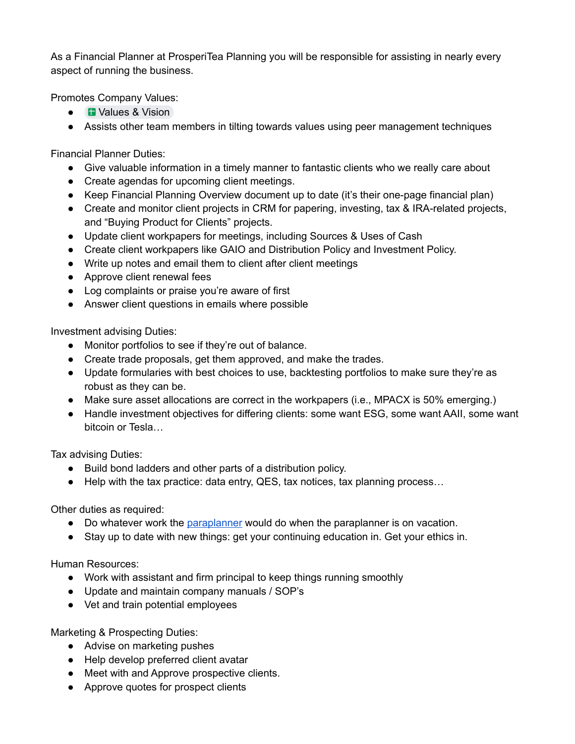As a Financial Planner at ProsperiTea Planning you will be responsible for assisting in nearly every aspect of running the business.

Promotes Company Values:

- **■** Values & Vision
- Assists other team members in tilting towards values using peer management techniques

Financial Planner Duties:

- Give valuable information in a timely manner to fantastic clients who we really care about
- Create agendas for upcoming client meetings.
- Keep Financial Planning Overview document up to date (it's their one-page financial plan)
- Create and monitor client projects in CRM for papering, investing, tax & IRA-related projects, and "Buying Product for Clients" projects.
- Update client workpapers for meetings, including Sources & Uses of Cash
- Create client workpapers like GAIO and Distribution Policy and Investment Policy.
- Write up notes and email them to client after client meetings
- Approve client renewal fees
- Log complaints or praise you're aware of first
- Answer client questions in emails where possible

Investment advising Duties:

- Monitor portfolios to see if they're out of balance.
- Create trade proposals, get them approved, and make the trades.
- Update formularies with best choices to use, backtesting portfolios to make sure they're as robust as they can be.
- Make sure asset allocations are correct in the workpapers (i.e., MPACX is 50% emerging.)
- Handle investment objectives for differing clients: some want ESG, some want AAII, some want bitcoin or Tesla…

Tax advising Duties:

- Build bond ladders and other parts of a distribution policy.
- $\bullet$  Help with the tax practice: data entry, QES, tax notices, tax planning process...

Other duties as required:

- Do whatever work the paraplanner would do when the paraplanner is on vacation.
- Stay up to date with new things: get your continuing education in. Get your ethics in.

Human Resources:

- Work with assistant and firm principal to keep things running smoothly
- Update and maintain company manuals / SOP's
- Vet and train potential employees

Marketing & Prospecting Duties:

- Advise on marketing pushes
- Help develop preferred client avatar
- Meet with and Approve prospective clients.
- Approve quotes for prospect clients